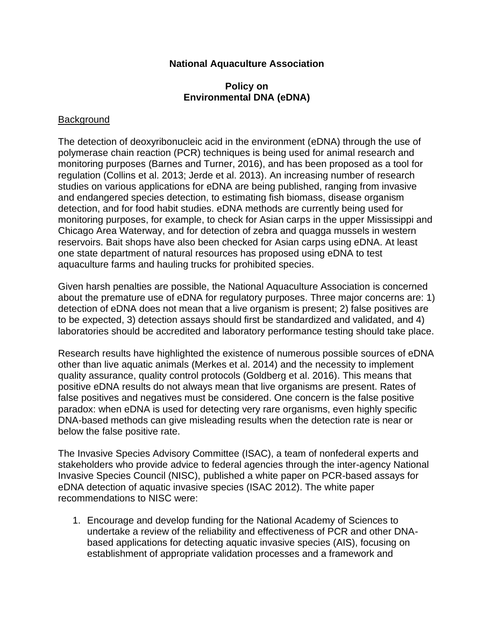## **National Aquaculture Association**

## **Policy on Environmental DNA (eDNA)**

## **Background**

The detection of deoxyribonucleic acid in the environment (eDNA) through the use of polymerase chain reaction (PCR) techniques is being used for animal research and monitoring purposes (Barnes and Turner, 2016), and has been proposed as a tool for regulation (Collins et al. 2013; Jerde et al. 2013). An increasing number of research studies on various applications for eDNA are being published, ranging from invasive and endangered species detection, to estimating fish biomass, disease organism detection, and for food habit studies. eDNA methods are currently being used for monitoring purposes, for example, to check for Asian carps in the upper Mississippi and Chicago Area Waterway, and for detection of zebra and quagga mussels in western reservoirs. Bait shops have also been checked for Asian carps using eDNA. At least one state department of natural resources has proposed using eDNA to test aquaculture farms and hauling trucks for prohibited species.

Given harsh penalties are possible, the National Aquaculture Association is concerned about the premature use of eDNA for regulatory purposes. Three major concerns are: 1) detection of eDNA does not mean that a live organism is present; 2) false positives are to be expected, 3) detection assays should first be standardized and validated, and 4) laboratories should be accredited and laboratory performance testing should take place.

Research results have highlighted the existence of numerous possible sources of eDNA other than live aquatic animals (Merkes et al. 2014) and the necessity to implement quality assurance, quality control protocols (Goldberg et al. 2016). This means that positive eDNA results do not always mean that live organisms are present. Rates of false positives and negatives must be considered. One concern is the false positive paradox: when eDNA is used for detecting very rare organisms, even highly specific DNA-based methods can give misleading results when the detection rate is near or below the false positive rate.

The Invasive Species Advisory Committee (ISAC), a team of nonfederal experts and stakeholders who provide advice to federal agencies through the inter-agency National Invasive Species Council (NISC), published a white paper on PCR-based assays for eDNA detection of aquatic invasive species (ISAC 2012). The white paper recommendations to NISC were:

1. Encourage and develop funding for the National Academy of Sciences to undertake a review of the reliability and effectiveness of PCR and other DNAbased applications for detecting aquatic invasive species (AIS), focusing on establishment of appropriate validation processes and a framework and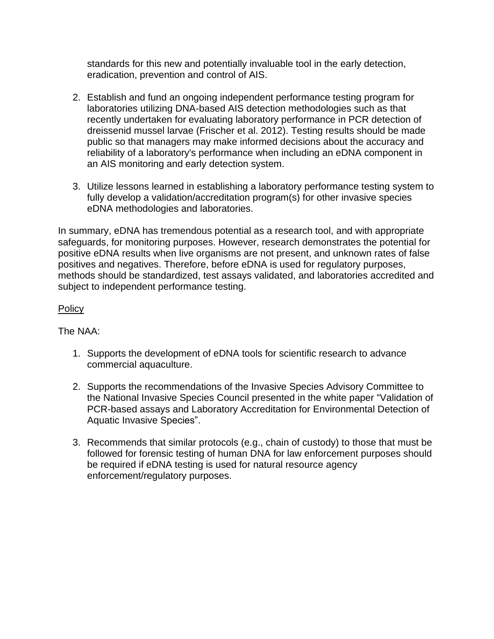standards for this new and potentially invaluable tool in the early detection, eradication, prevention and control of AIS.

- 2. Establish and fund an ongoing independent performance testing program for laboratories utilizing DNA-based AIS detection methodologies such as that recently undertaken for evaluating laboratory performance in PCR detection of dreissenid mussel larvae (Frischer et al. 2012). Testing results should be made public so that managers may make informed decisions about the accuracy and reliability of a laboratory's performance when including an eDNA component in an AIS monitoring and early detection system.
- 3. Utilize lessons learned in establishing a laboratory performance testing system to fully develop a validation/accreditation program(s) for other invasive species eDNA methodologies and laboratories.

In summary, eDNA has tremendous potential as a research tool, and with appropriate safeguards, for monitoring purposes. However, research demonstrates the potential for positive eDNA results when live organisms are not present, and unknown rates of false positives and negatives. Therefore, before eDNA is used for regulatory purposes, methods should be standardized, test assays validated, and laboratories accredited and subject to independent performance testing.

# Policy

# The NAA:

- 1. Supports the development of eDNA tools for scientific research to advance commercial aquaculture.
- 2. Supports the recommendations of the Invasive Species Advisory Committee to the National Invasive Species Council presented in the white paper "Validation of PCR-based assays and Laboratory Accreditation for Environmental Detection of Aquatic Invasive Species".
- 3. Recommends that similar protocols (e.g., chain of custody) to those that must be followed for forensic testing of human DNA for law enforcement purposes should be required if eDNA testing is used for natural resource agency enforcement/regulatory purposes.